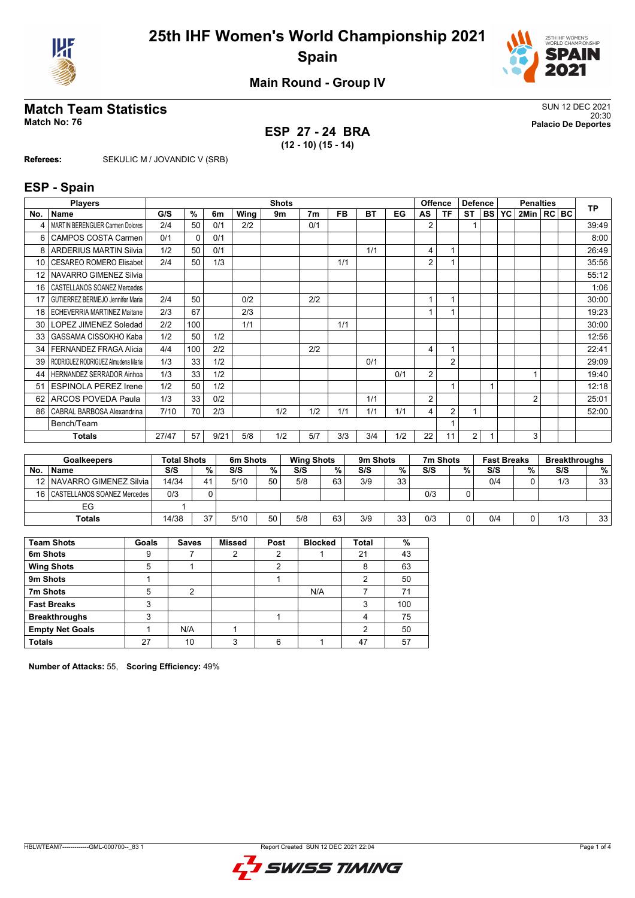



**Main Round - Group IV**

## **Match Team Statistics** SUN 12 DEC 2021

**ESP 27 - 24 BRA (12 - 10) (15 - 14)**

20:30 **Match No: 76 Palacio De Deportes**

**Referees:** SEKULIC M / JOVANDIC V (SRB)

#### **ESP - Spain**

|     | <b>Players</b>                          | <b>Shots</b><br><b>Offence</b><br><b>Defence</b><br><b>Penalties</b> |          |      |      | <b>TP</b> |                |           |           |     |    |                |                |              |                |  |      |       |
|-----|-----------------------------------------|----------------------------------------------------------------------|----------|------|------|-----------|----------------|-----------|-----------|-----|----|----------------|----------------|--------------|----------------|--|------|-------|
| No. | Name                                    | G/S                                                                  | %        | 6m   | Wing | 9m        | 7 <sub>m</sub> | <b>FB</b> | <b>BT</b> | EG  | AS | ΤF             | <b>ST</b>      | <b>BS YC</b> | 2Min  RC       |  | IBC. |       |
|     | <b>MARTIN BERENGUER Carmen Dolores</b>  | 2/4                                                                  | 50       | 0/1  | 2/2  |           | 0/1            |           |           |     | 2  |                |                |              |                |  |      | 39:49 |
| 6   | <b>CAMPOS COSTA Carmen</b>              | 0/1                                                                  | $\Omega$ | 0/1  |      |           |                |           |           |     |    |                |                |              |                |  |      | 8:00  |
| 8   | <b>ARDERIUS MARTIN Silvia</b>           | 1/2                                                                  | 50       | 0/1  |      |           |                |           | 1/1       |     | 4  |                |                |              |                |  |      | 26:49 |
| 10  | <b>CESAREO ROMERO Elisabet</b>          | 2/4                                                                  | 50       | 1/3  |      |           |                | 1/1       |           |     | 2  |                |                |              |                |  |      | 35:56 |
| 12  | NAVARRO GIMENEZ Silvia                  |                                                                      |          |      |      |           |                |           |           |     |    |                |                |              |                |  |      | 55:12 |
| 16  | CASTELLANOS SOANEZ Mercedes             |                                                                      |          |      |      |           |                |           |           |     |    |                |                |              |                |  |      | 1:06  |
| 17  | <b>GUTIERREZ BERMEJO Jennifer Maria</b> | 2/4                                                                  | 50       |      | 0/2  |           | 2/2            |           |           |     |    |                |                |              |                |  |      | 30:00 |
| 18  | <b>ECHEVERRIA MARTINEZ Maitane</b>      | 2/3                                                                  | 67       |      | 2/3  |           |                |           |           |     |    |                |                |              |                |  |      | 19:23 |
| 30  | LOPEZ JIMENEZ Soledad                   | 2/2                                                                  | 100      |      | 1/1  |           |                | 1/1       |           |     |    |                |                |              |                |  |      | 30:00 |
| 33  | GASSAMA CISSOKHO Kaba                   | 1/2                                                                  | 50       | 1/2  |      |           |                |           |           |     |    |                |                |              |                |  |      | 12:56 |
| 34  | <b>FERNANDEZ FRAGA Alicia</b>           | 4/4                                                                  | 100      | 2/2  |      |           | 2/2            |           |           |     | 4  |                |                |              |                |  |      | 22:41 |
| 39  | RODRIGUEZ RODRIGUEZ Almudena Maria      | 1/3                                                                  | 33       | 1/2  |      |           |                |           | 0/1       |     |    | $\overline{2}$ |                |              |                |  |      | 29:09 |
| 44  | <b>HERNANDEZ SERRADOR Ainhoa</b>        | 1/3                                                                  | 33       | 1/2  |      |           |                |           |           | 0/1 | 2  |                |                |              |                |  |      | 19:40 |
| 51  | <b>ESPINOLA PEREZ Irene</b>             | 1/2                                                                  | 50       | 1/2  |      |           |                |           |           |     |    |                |                |              |                |  |      | 12:18 |
| 62  | <b>ARCOS POVEDA Paula</b>               | 1/3                                                                  | 33       | 0/2  |      |           |                |           | 1/1       |     | 2  |                |                |              | $\overline{2}$ |  |      | 25:01 |
| 86  | CABRAL BARBOSA Alexandrina              | 7/10                                                                 | 70       | 2/3  |      | 1/2       | 1/2            | 1/1       | 1/1       | 1/1 | 4  | $\overline{2}$ |                |              |                |  |      | 52:00 |
|     | Bench/Team                              |                                                                      |          |      |      |           |                |           |           |     |    |                |                |              |                |  |      |       |
|     | <b>Totals</b>                           | 27/47                                                                | 57       | 9/21 | 5/8  | 1/2       | 5/7            | 3/3       | 3/4       | 1/2 | 22 | 11             | $\overline{2}$ |              | 3              |  |      |       |

| <b>Goalkeepers</b> |                                  | <b>Total Shots</b> |    | 6m Shots |    | <b>Wing Shots</b> |    | 9m Shots |    | 7m Shots |   | <b>Fast Breaks</b> |   | <b>Breakthroughs</b> |                 |
|--------------------|----------------------------------|--------------------|----|----------|----|-------------------|----|----------|----|----------|---|--------------------|---|----------------------|-----------------|
| <b>No</b>          | <b>Name</b>                      | S/S                | %  | S/S      | %  | S/S               | %  | S/S      | %  | S/S      | % | S/S                | % | S/S                  | %               |
|                    | 12   NAVARRO GIMENEZ Silvia      | 14/34              | 41 | 5/10     | 50 | 5/8               | 63 | 3/9      | 33 |          |   | 0/4                |   | 1/3                  | 33 <sup>1</sup> |
|                    | 16   CASTELLANOS SOANEZ Mercedes | 0/3                |    |          |    |                   |    |          |    | 0/3      |   |                    |   |                      |                 |
|                    | EG                               |                    |    |          |    |                   |    |          |    |          |   |                    |   |                      |                 |
|                    | Totals                           | 14/38              | 37 | 5/10     | 50 | 5/8               | 63 | 3/9      | 33 | 0/3      |   | 0/4                |   | 1/3                  | 33 <sup>1</sup> |

| <b>Team Shots</b>      | Goals | <b>Saves</b>   | <b>Missed</b> | Post | <b>Blocked</b> | <b>Total</b> | %   |
|------------------------|-------|----------------|---------------|------|----------------|--------------|-----|
| 6m Shots               | 9     |                | ົ             | າ    |                | 21           | 43  |
| <b>Wing Shots</b>      | 5     |                |               | າ    |                | 8            | 63  |
| 9m Shots               |       |                |               |      |                |              | 50  |
| 7m Shots               | 5     | $\overline{2}$ |               |      | N/A            |              | 71  |
| <b>Fast Breaks</b>     | 3     |                |               |      |                | 3            | 100 |
| <b>Breakthroughs</b>   | 3     |                |               |      |                |              | 75  |
| <b>Empty Net Goals</b> |       | N/A            |               |      |                | 2            | 50  |
| <b>Totals</b>          | 27    | 10             | ົ             | 6    |                | 47           | 57  |

**Number of Attacks:** 55, **Scoring Efficiency:** 49%

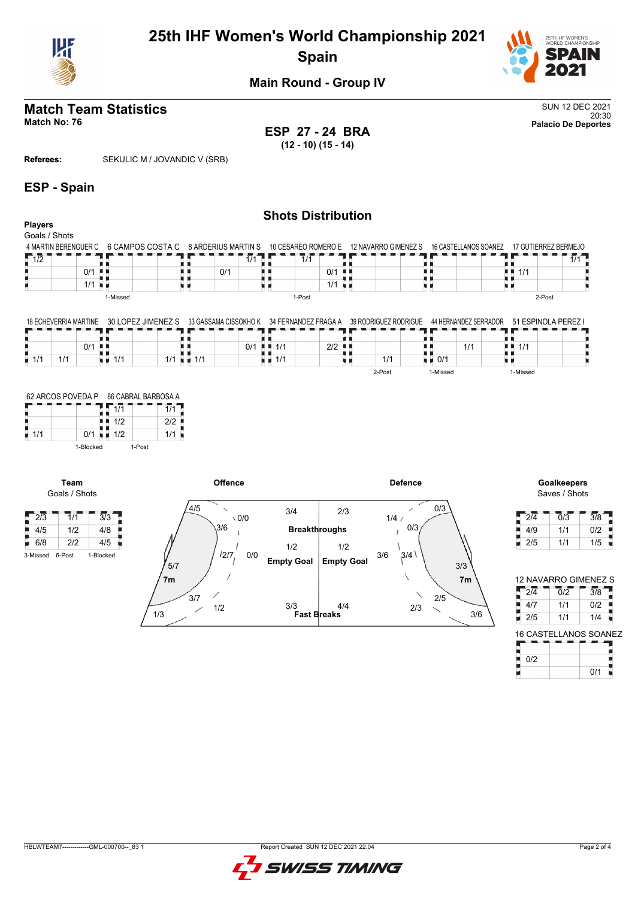

## **25th IHF Women's World Championship 2021 Spain**



**Main Round - Group IV**

## **Match Team Statistics** SUN 12 DEC 2021

20:30 **Match No: 76 Palacio De Deportes ESP 27 - 24 BRA (12 - 10) (15 - 14)**

**Referees:** SEKULIC M / JOVANDIC V (SRB)

#### **ESP - Spain**

#### **Shots Distribution Players** Goals / Shots 4 MARTIN BERENGUER C 6 CAMPOS COSTA C 8 ARDERIUS MARTIN S 10 CESAREO ROMERO E 12 NAVARRO GIMENEZ S 16 CASTELLANOS SOANEZ 17 GUTIERREZ BERMEJO  $\frac{1}{0/1}$  $1/2$  $1/1$  $1/1$ 11<br>11/1<br>11  $1/1$ H 0/1 -8.8 0/1 H 8 ă.  $1/1$  $\overline{1/1}$ υø u n ψú 1-Missed 1-Post 2-Post

|  | 18 ECHEVERRIA MARTINE 30 LOPEZ JIMENEZ S 33 GASSAMA CISSOKHO K 34 FERNANDEZ FRAGA A 39 RODRIGUEZ RODRIGUE 44 HERNANDEZ SERRADOR 51 ESPINOLA PEREZ I |  |  |
|--|-----------------------------------------------------------------------------------------------------------------------------------------------------|--|--|
|  |                                                                                                                                                     |  |  |

|                    |             | 0/1 |     |             |                                    | 0/1 | $\blacksquare$ $\blacksquare$ 1/1 | $2/2$ $\blacksquare$ |        |          | 111<br>-17-1 | 111      |  |
|--------------------|-------------|-----|-----|-------------|------------------------------------|-----|-----------------------------------|----------------------|--------|----------|--------------|----------|--|
| $\blacksquare$ 1/1 | 414<br>17 L |     | 1/1 | 111<br>., . | $\blacksquare$ 1/1<br>$\mathbf{L}$ |     | 1/1                               |                      | 1/1    | 0/1      |              |          |  |
|                    |             |     |     |             |                                    |     |                                   |                      | 2-Post | 1-Missed |              | 1-Missed |  |

|     | 62 ARCOS POVEDA P | 86 CABRAL BARBOSA A |     |  |  |  |  |  |
|-----|-------------------|---------------------|-----|--|--|--|--|--|
|     |                   | 1/1                 |     |  |  |  |  |  |
|     |                   | 1/2                 | 212 |  |  |  |  |  |
| 1/1 | 0/1               | 1/2                 | 1/1 |  |  |  |  |  |
|     | 1-Blocked         | 1-Post              |     |  |  |  |  |  |

**Team** Goals / Shots



# Saves / Shots

| 2/4 | 0/3 | 3/8 |
|-----|-----|-----|
| 4/9 | 1/1 | 0/2 |
| 2/5 | 1/1 | 1/5 |

| 12 NAVARRO GIMENEZ S |     |                       |  |  |  |  |  |  |  |  |
|----------------------|-----|-----------------------|--|--|--|--|--|--|--|--|
| 214                  | 0/2 | 3/8                   |  |  |  |  |  |  |  |  |
| 4/7                  | 1/1 | 0/2                   |  |  |  |  |  |  |  |  |
| 2/5                  | 1/1 | 1/4                   |  |  |  |  |  |  |  |  |
|                      |     | 16 CASTELLANOS SOANEZ |  |  |  |  |  |  |  |  |

| 0/2 |     |  |
|-----|-----|--|
|     | 0/1 |  |

HBLWTEAM7-------------GML-000700--\_83 1 Report Created SUN 12 DEC 2021 22:04

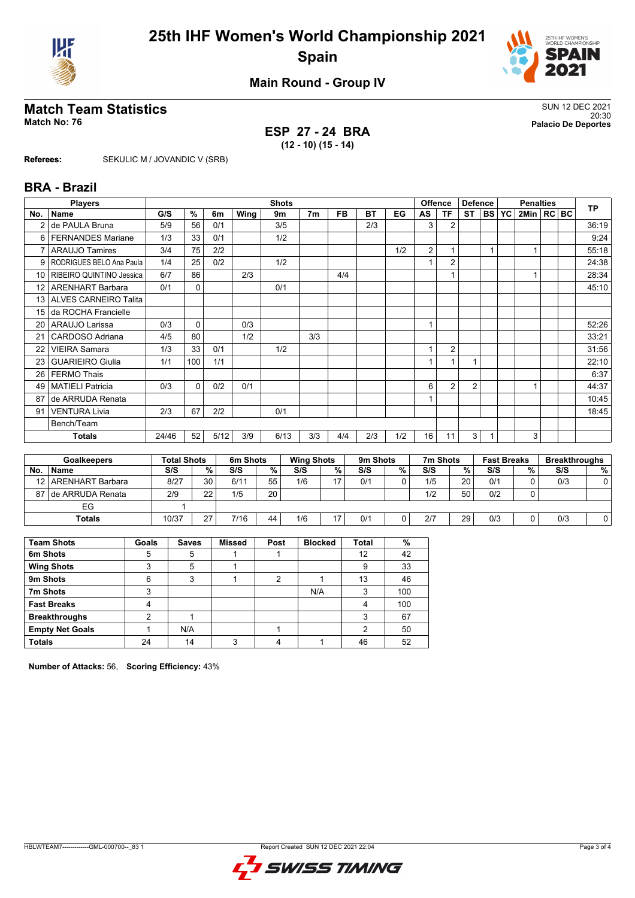



**Main Round - Group IV**

## **Match Team Statistics** SUN 12 DEC 2021

**ESP 27 - 24 BRA (12 - 10) (15 - 14)**

20:30 **Match No: 76 Palacio De Deportes**

**Referees:** SEKULIC M / JOVANDIC V (SRB)

#### **BRA - Brazil**

|                 | <b>Players</b>               | <b>Shots</b> |          |      |      |      |                |           |           | <b>Offence</b> |                | <b>Defence</b> |                | <b>Penalties</b> |  |              |  | <b>TP</b> |       |
|-----------------|------------------------------|--------------|----------|------|------|------|----------------|-----------|-----------|----------------|----------------|----------------|----------------|------------------|--|--------------|--|-----------|-------|
| No.             | <b>Name</b>                  | G/S          | %        | 6m   | Wing | 9m   | 7 <sub>m</sub> | <b>FB</b> | <b>BT</b> | EG             | AS             | <b>TF</b>      | <b>ST</b>      | $ BS $ YC        |  | 2Min   RC BC |  |           |       |
| 2               | de PAULA Bruna               | 5/9          | 56       | 0/1  |      | 3/5  |                |           | 2/3       |                | 3              | 2              |                |                  |  |              |  |           | 36:19 |
| 6               | <b>FERNANDES Mariane</b>     | 1/3          | 33       | 0/1  |      | 1/2  |                |           |           |                |                |                |                |                  |  |              |  |           | 9:24  |
| 7               | <b>ARAUJO Tamires</b>        | 3/4          | 75       | 2/2  |      |      |                |           |           | 1/2            | $\overline{2}$ |                |                |                  |  |              |  |           | 55:18 |
| 9               | RODRIGUES BELO Ana Paula     | 1/4          | 25       | 0/2  |      | 1/2  |                |           |           |                |                | $\overline{2}$ |                |                  |  |              |  |           | 24:38 |
| 10 I            | RIBEIRO QUINTINO Jessica     | 6/7          | 86       |      | 2/3  |      |                | 4/4       |           |                |                | $\mathbf{1}$   |                |                  |  | $\mathbf{1}$ |  |           | 28:34 |
| 12 <sup>1</sup> | <b>ARENHART Barbara</b>      | 0/1          | 0        |      |      | 0/1  |                |           |           |                |                |                |                |                  |  |              |  |           | 45:10 |
| 13 I            | <b>ALVES CARNEIRO Talita</b> |              |          |      |      |      |                |           |           |                |                |                |                |                  |  |              |  |           |       |
| 15              | da ROCHA Francielle          |              |          |      |      |      |                |           |           |                |                |                |                |                  |  |              |  |           |       |
| 20 <sub>1</sub> | ARAUJO Larissa               | 0/3          | 0        |      | 0/3  |      |                |           |           |                | 1              |                |                |                  |  |              |  |           | 52:26 |
| 21              | CARDOSO Adriana              | 4/5          | 80       |      | 1/2  |      | 3/3            |           |           |                |                |                |                |                  |  |              |  |           | 33:21 |
| 22              | <b>VIEIRA Samara</b>         | 1/3          | 33       | 0/1  |      | 1/2  |                |           |           |                |                | $\overline{2}$ |                |                  |  |              |  |           | 31:56 |
| 23 <sub>1</sub> | <b>GUARIEIRO Giulia</b>      | 1/1          | 100      | 1/1  |      |      |                |           |           |                |                | $\mathbf{1}$   |                |                  |  |              |  |           | 22:10 |
| 26 <sub>1</sub> | <b>FERMO Thais</b>           |              |          |      |      |      |                |           |           |                |                |                |                |                  |  |              |  |           | 6:37  |
| 49              | <b>MATIELI Patricia</b>      | 0/3          | $\Omega$ | 0/2  | 0/1  |      |                |           |           |                | 6              | $\overline{2}$ | $\overline{2}$ |                  |  | 1            |  |           | 44:37 |
| 87              | de ARRUDA Renata             |              |          |      |      |      |                |           |           |                |                |                |                |                  |  |              |  |           | 10:45 |
| 91              | <b>VENTURA Livia</b>         | 2/3          | 67       | 2/2  |      | 0/1  |                |           |           |                |                |                |                |                  |  |              |  |           | 18:45 |
|                 | Bench/Team                   |              |          |      |      |      |                |           |           |                |                |                |                |                  |  |              |  |           |       |
|                 | <b>Totals</b>                | 24/46        | 52       | 5/12 | 3/9  | 6/13 | 3/3            | 4/4       | 2/3       | 1/2            | 16             | 11             | 3              |                  |  | 3            |  |           |       |
|                 |                              |              |          |      |      |      |                |           |           |                |                |                |                |                  |  |              |  |           |       |

| <b>Goalkeepers</b> |                       | <b>Total Shots</b> |    | 6m Shots |    | <b>Wing Shots</b> |   | 9m Shots |   | 7m Shots |                 | <b>Fast Breaks</b> |   | <b>Breakthroughs</b> |    |
|--------------------|-----------------------|--------------------|----|----------|----|-------------------|---|----------|---|----------|-----------------|--------------------|---|----------------------|----|
| No.                | <b>Name</b>           | S/S                | %  | S/S      | %  | S/S               | % | S/S      | % | S/S      | %               | S/S                | % | S/S                  | %। |
|                    | 12   ARENHART Barbara | 8/27               | 30 | 6/11     | 55 | 1/6               |   | 0/1      | 0 | 1/5      | 20 <sub>1</sub> | 0/1                |   | 0/3                  |    |
|                    | 87 I de ARRUDA Renata | 2/9                | 22 | 1/5      | 20 |                   |   |          |   | 1/2      | 50              | 0/2                |   |                      |    |
|                    | EG                    |                    |    |          |    |                   |   |          |   |          |                 |                    |   |                      |    |
|                    | <b>Totals</b>         | 10/37              | 27 | 7/16     | 44 | 1/6               |   | 0/1      |   | 2/7      | 29              | 0/3                |   | 0/3                  |    |

| <b>Team Shots</b>      | Goals | <b>Saves</b> | <b>Missed</b> | Post | <b>Blocked</b> | <b>Total</b> | %   |
|------------------------|-------|--------------|---------------|------|----------------|--------------|-----|
| 6m Shots               | 5     | 5            |               |      |                | 12           | 42  |
| <b>Wing Shots</b>      | 3     | 5            |               |      |                | 9            | 33  |
| 9m Shots               | 6     | 3            |               | າ    |                | 13           | 46  |
| 7m Shots               | ົ     |              |               |      | N/A            | 3            | 100 |
| <b>Fast Breaks</b>     |       |              |               |      |                | 4            | 100 |
| <b>Breakthroughs</b>   | ◠     |              |               |      |                | 3            | 67  |
| <b>Empty Net Goals</b> |       | N/A          |               |      |                | 2            | 50  |
| <b>Totals</b>          | 24    | 14           | ົ             |      |                | 46           | 52  |

**Number of Attacks:** 56, **Scoring Efficiency:** 43%